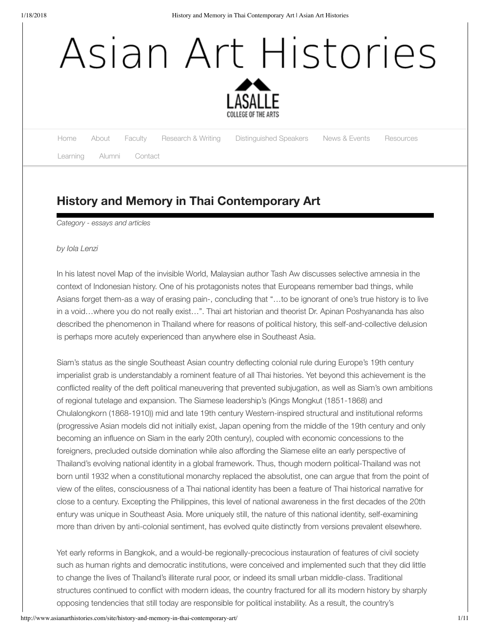# Asian Art Histories



[Home](http://www.asianarthistories.com/site/) [About](http://www.lasalle.edu.sg/programmes/postgraduate/asian-art-histories/) Faculty Research & Writing Distinguished Speakers News & Events Resources

Learning Alumni [Contact](http://www.asianarthistories.com/site/contact/)

# **History and Memory in Thai Contemporary Art**

*Category - essays and articles*

# *by Iola Lenzi*

In his latest novel Map of the invisible World, Malaysian author Tash Aw discusses selective amnesia in the context of Indonesian history. One of his protagonists notes that Europeans remember bad things, while Asians forget them-as a way of erasing pain-, concluding that "…to be ignorant of one's true history is to live in a void…where you do not really exist…". Thai art historian and theorist Dr. Apinan Poshyananda has also described the phenomenon in Thailand where for reasons of political history, this self-and-collective delusion is perhaps more acutely experienced than anywhere else in Southeast Asia.

Siam's status as the single Southeast Asian country deflecting colonial rule during Europe's 19th century imperialist grab is understandably a rominent feature of all Thai histories. Yet beyond this achievement is the conflicted reality of the deft political maneuvering that prevented subjugation, as well as Siam's own ambitions of regional tutelage and expansion. The Siamese leadership's (Kings Mongkut (1851-1868) and Chulalongkorn (1868-1910)) mid and late 19th century Western-inspired structural and institutional reforms (progressive Asian models did not initially exist, Japan opening from the middle of the 19th century and only becoming an influence on Siam in the early 20th century), coupled with economic concessions to the foreigners, precluded outside domination while also affording the Siamese elite an early perspective of Thailand's evolving national identity in a global framework. Thus, though modern political-Thailand was not born until 1932 when a constitutional monarchy replaced the absolutist, one can argue that from the point of view of the elites, consciousness of a Thai national identity has been a feature of Thai historical narrative for close to a century. Excepting the Philippines, this level of national awareness in the first decades of the 20th entury was unique in Southeast Asia. More uniquely still, the nature of this national identity, self-examining more than driven by anti-colonial sentiment, has evolved quite distinctly from versions prevalent elsewhere.

Yet early reforms in Bangkok, and a would-be regionally-precocious instauration of features of civil society such as human rights and democratic institutions, were conceived and implemented such that they did little to change the lives of Thailand's illiterate rural poor, or indeed its small urban middle-class. Traditional structures continued to conflict with modern ideas, the country fractured for all its modern history by sharply opposing tendencies that still today are responsible for political instability. As a result, the country's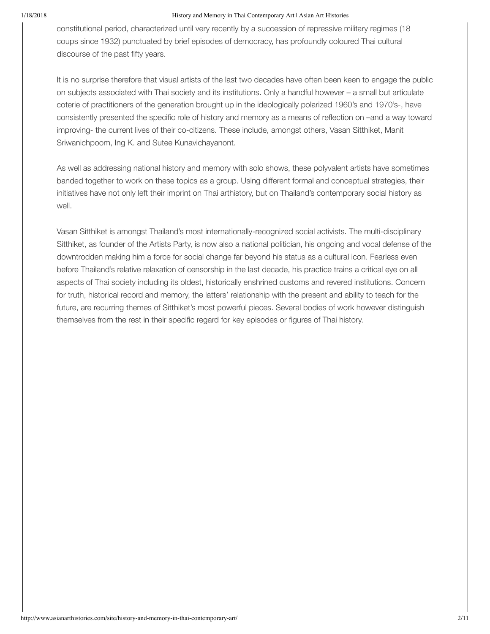constitutional period, characterized until very recently by a succession of repressive military regimes (18 coups since 1932) punctuated by brief episodes of democracy, has profoundly coloured Thai cultural discourse of the past fifty years.

It is no surprise therefore that visual artists of the last two decades have often been keen to engage the public on subjects associated with Thai society and its institutions. Only a handful however – a small but articulate coterie of practitioners of the generation brought up in the ideologically polarized 1960's and 1970's-, have consistently presented the specific role of history and memory as a means of reflection on –and a way toward improving- the current lives of their co-citizens. These include, amongst others, Vasan Sitthiket, Manit Sriwanichpoom, Ing K. and Sutee Kunavichayanont.

As well as addressing national history and memory with solo shows, these polyvalent artists have sometimes banded together to work on these topics as a group. Using different formal and conceptual strategies, their initiatives have not only left their imprint on Thai arthistory, but on Thailand's contemporary social history as well.

Vasan Sitthiket is amongst Thailand's most internationally-recognized social activists. The multi-disciplinary Sitthiket, as founder of the Artists Party, is now also a national politician, his ongoing and vocal defense of the downtrodden making him a force for social change far beyond his status as a cultural icon. Fearless even before Thailand's relative relaxation of censorship in the last decade, his practice trains a critical eye on all aspects of Thai society including its oldest, historically enshrined customs and revered institutions. Concern for truth, historical record and memory, the latters' relationship with the present and ability to teach for the future, are recurring themes of Sitthiket's most powerful pieces. Several bodies of work however distinguish themselves from the rest in their specific regard for key episodes or figures of Thai history.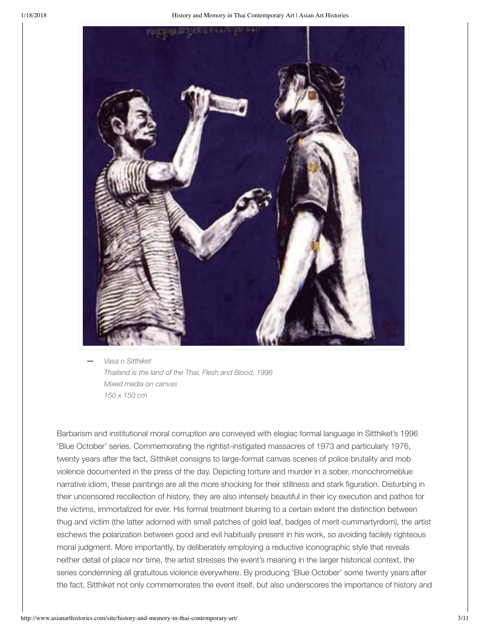

*Vasa n Sitthiket Thailand is the land of the Thai, Flesh and Blood, 1996 Mixed media on canvas 150 x 150 cm* **—**

Barbarism and institutional moral corruption are conveyed with elegiac formal language in Sitthiket's 1996 'Blue October' series. Commemorating the rightist-instigated massacres of 1973 and particularly 1976, twenty years after the fact, Sitthiket consigns to large-format canvas scenes of police brutality and mob violence documented in the press of the day. Depicting torture and murder in a sober, monochromeblue narrative idiom, these paintings are all the more shocking for their stillness and stark figuration. Disturbing in their uncensored recollection of history, they are also intensely beautiful in their icy execution and pathos for the victims, immortalized for ever. His formal treatment blurring to a certain extent the distinction between thug and victim (the latter adorned with small patches of gold leaf, badges of merit-cummartyrdom), the artist eschews the polarization between good and evil habitually present in his work, so avoiding facilely righteous moral judgment. More importantly, by deliberately employing a reductive iconographic style that reveals neither detail of place nor time, the artist stresses the event's meaning in the larger historical context, the series condemning all gratuitous violence everywhere. By producing 'Blue October' some twenty years after the fact, Sitthiket not only commemorates the event itself, but also underscores the importance of history and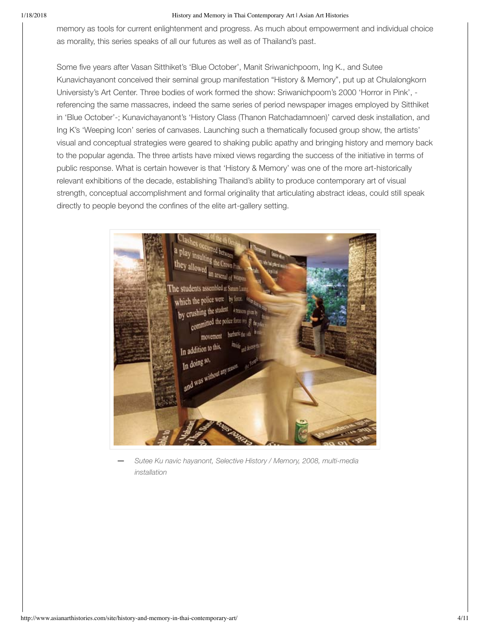memory as tools for current enlightenment and progress. As much about empowerment and individual choice as morality, this series speaks of all our futures as well as of Thailand's past.

Some five years after Vasan Sitthiket's 'Blue October', Manit Sriwanichpoom, Ing K., and Sutee Kunavichayanont conceived their seminal group manifestation "History & Memory", put up at Chulalongkorn Universisty's Art Center. Three bodies of work formed the show: Sriwanichpoom's 2000 'Horror in Pink', referencing the same massacres, indeed the same series of period newspaper images employed by Sitthiket in 'Blue October'-; Kunavichayanont's 'History Class (Thanon Ratchadamnoen)' carved desk installation, and Ing K's 'Weeping Icon' series of canvases. Launching such a thematically focused group show, the artists' visual and conceptual strategies were geared to shaking public apathy and bringing history and memory back to the popular agenda. The three artists have mixed views regarding the success of the initiative in terms of public response. What is certain however is that 'History & Memory' was one of the more art-historically relevant exhibitions of the decade, establishing Thailand's ability to produce contemporary art of visual strength, conceptual accomplishment and formal originality that articulating abstract ideas, could still speak directly to people beyond the confines of the elite art-gallery setting.



*Sutee Ku navic hayanont, Selective History / Memory, 2008, multi-media installation* **—**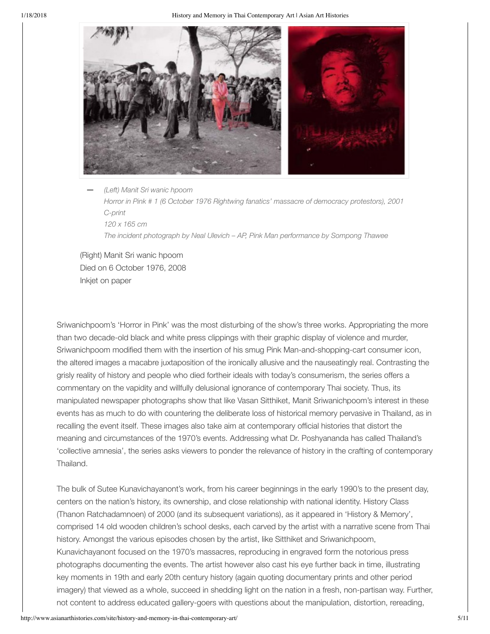

*(Left) Manit Sri wanic hpoom Horror in Pink # 1 (6 October 1976 Rightwing fanatics' massacre of democracy protestors), 2001 C-print 120 x 165 cm The incident photograph by Neal Ulevich – AP, Pink Man performance by Sompong Thawee* **—**

(Right) Manit Sri wanic hpoom Died on 6 October 1976, 2008 Inkjet on paper

Sriwanichpoom's 'Horror in Pink' was the most disturbing of the show's three works. Appropriating the more than two decade-old black and white press clippings with their graphic display of violence and murder, Sriwanichpoom modified them with the insertion of his smug Pink Man-and-shopping-cart consumer icon, the altered images a macabre juxtaposition of the ironically allusive and the nauseatingly real. Contrasting the grisly reality of history and people who died fortheir ideals with today's consumerism, the series offers a commentary on the vapidity and willfully delusional ignorance of contemporary Thai society. Thus, its manipulated newspaper photographs show that like Vasan Sitthiket, Manit Sriwanichpoom's interest in these events has as much to do with countering the deliberate loss of historical memory pervasive in Thailand, as in recalling the event itself. These images also take aim at contemporary official histories that distort the meaning and circumstances of the 1970's events. Addressing what Dr. Poshyananda has called Thailand's 'collective amnesia', the series asks viewers to ponder the relevance of history in the crafting of contemporary Thailand.

The bulk of Sutee Kunavichayanont's work, from his career beginnings in the early 1990's to the present day, centers on the nation's history, its ownership, and close relationship with national identity. History Class (Thanon Ratchadamnoen) of 2000 (and its subsequent variations), as it appeared in 'History & Memory', comprised 14 old wooden children's school desks, each carved by the artist with a narrative scene from Thai history. Amongst the various episodes chosen by the artist, like Sitthiket and Sriwanichpoom, Kunavichayanont focused on the 1970's massacres, reproducing in engraved form the notorious press photographs documenting the events. The artist however also cast his eye further back in time, illustrating key moments in 19th and early 20th century history (again quoting documentary prints and other period imagery) that viewed as a whole, succeed in shedding light on the nation in a fresh, non-partisan way. Further, not content to address educated gallery-goers with questions about the manipulation, distortion, rereading,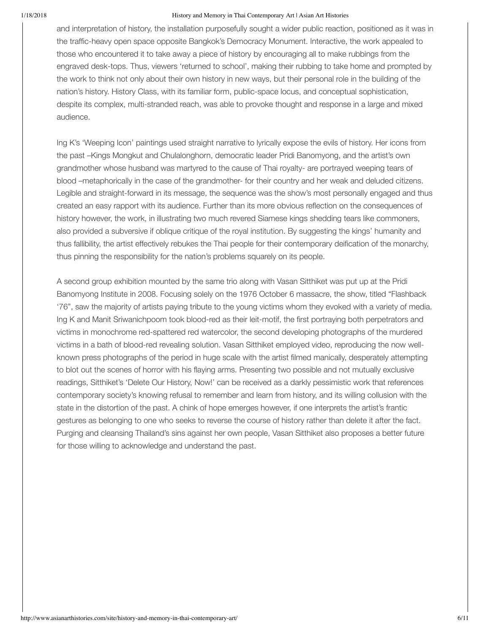and interpretation of history, the installation purposefully sought a wider public reaction, positioned as it was in the traffic-heavy open space opposite Bangkok's Democracy Monument. Interactive, the work appealed to those who encountered it to take away a piece of history by encouraging all to make rubbings from the engraved desk-tops. Thus, viewers 'returned to school', making their rubbing to take home and prompted by the work to think not only about their own history in new ways, but their personal role in the building of the nation's history. History Class, with its familiar form, public-space locus, and conceptual sophistication, despite its complex, multi-stranded reach, was able to provoke thought and response in a large and mixed audience.

Ing K's 'Weeping Icon' paintings used straight narrative to lyrically expose the evils of history. Her icons from the past –Kings Mongkut and Chulalonghorn, democratic leader Pridi Banomyong, and the artist's own grandmother whose husband was martyred to the cause of Thai royalty- are portrayed weeping tears of blood –metaphorically in the case of the grandmother- for their country and her weak and deluded citizens. Legible and straight-forward in its message, the sequence was the show's most personally engaged and thus created an easy rapport with its audience. Further than its more obvious reflection on the consequences of history however, the work, in illustrating two much revered Siamese kings shedding tears like commoners, also provided a subversive if oblique critique of the royal institution. By suggesting the kings' humanity and thus fallibility, the artist effectively rebukes the Thai people for their contemporary deification of the monarchy, thus pinning the responsibility for the nation's problems squarely on its people.

A second group exhibition mounted by the same trio along with Vasan Sitthiket was put up at the Pridi Banomyong Institute in 2008. Focusing solely on the 1976 October 6 massacre, the show, titled "Flashback '76", saw the majority of artists paying tribute to the young victims whom they evoked with a variety of media. Ing K and Manit Sriwanichpoom took blood-red as their leit-motif, the first portraying both perpetrators and victims in monochrome red-spattered red watercolor, the second developing photographs of the murdered victims in a bath of blood-red revealing solution. Vasan Sitthiket employed video, reproducing the now wellknown press photographs of the period in huge scale with the artist filmed manically, desperately attempting to blot out the scenes of horror with his flaying arms. Presenting two possible and not mutually exclusive readings, Sitthiket's 'Delete Our History, Now!' can be received as a darkly pessimistic work that references contemporary society's knowing refusal to remember and learn from history, and its willing collusion with the state in the distortion of the past. A chink of hope emerges however, if one interprets the artist's frantic gestures as belonging to one who seeks to reverse the course of history rather than delete it after the fact. Purging and cleansing Thailand's sins against her own people, Vasan Sitthiket also proposes a better future for those willing to acknowledge and understand the past.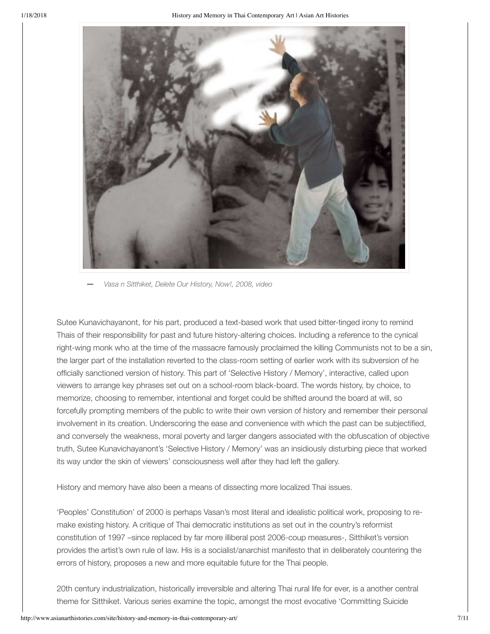

**—** *Vasa n Sitthiket, Delete Our History, Now!, 2008, video*

Sutee Kunavichayanont, for his part, produced a text-based work that used bitter-tinged irony to remind Thais of their responsibility for past and future history-altering choices. Including a reference to the cynical right-wing monk who at the time of the massacre famously proclaimed the killing Communists not to be a sin, the larger part of the installation reverted to the class-room setting of earlier work with its subversion of he officially sanctioned version of history. This part of 'Selective History / Memory', interactive, called upon viewers to arrange key phrases set out on a school-room black-board. The words history, by choice, to memorize, choosing to remember, intentional and forget could be shifted around the board at will, so forcefully prompting members of the public to write their own version of history and remember their personal involvement in its creation. Underscoring the ease and convenience with which the past can be subjectified, and conversely the weakness, moral poverty and larger dangers associated with the obfuscation of objective truth, Sutee Kunavichayanont's 'Selective History / Memory' was an insidiously disturbing piece that worked its way under the skin of viewers' consciousness well after they had left the gallery.

History and memory have also been a means of dissecting more localized Thai issues.

'Peoples' Constitution' of 2000 is perhaps Vasan's most literal and idealistic political work, proposing to remake existing history. A critique of Thai democratic institutions as set out in the country's reformist constitution of 1997 –since replaced by far more illiberal post 2006-coup measures-, Sitthiket's version provides the artist's own rule of law. His is a socialist/anarchist manifesto that in deliberately countering the errors of history, proposes a new and more equitable future for the Thai people.

20th century industrialization, historically irreversible and altering Thai rural life for ever, is a another central theme for Sitthiket. Various series examine the topic, amongst the most evocative 'Committing Suicide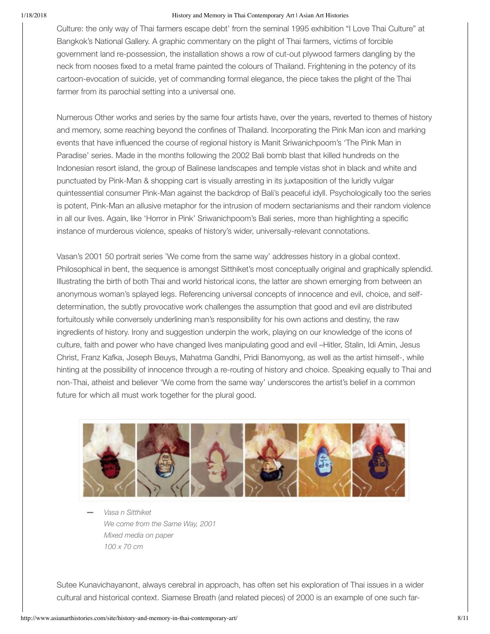Culture: the only way of Thai farmers escape debt' from the seminal 1995 exhibition "I Love Thai Culture" at Bangkok's National Gallery. A graphic commentary on the plight of Thai farmers, victims of forcible government land re-possession, the installation shows a row of cut-out plywood farmers dangling by the neck from nooses fixed to a metal frame painted the colours of Thailand. Frightening in the potency of its cartoon-evocation of suicide, yet of commanding formal elegance, the piece takes the plight of the Thai farmer from its parochial setting into a universal one.

Numerous Other works and series by the same four artists have, over the years, reverted to themes of history and memory, some reaching beyond the confines of Thailand. Incorporating the Pink Man icon and marking events that have influenced the course of regional history is Manit Sriwanichpoom's 'The Pink Man in Paradise' series. Made in the months following the 2002 Bali bomb blast that killed hundreds on the Indonesian resort island, the group of Balinese landscapes and temple vistas shot in black and white and punctuated by Pink-Man & shopping cart is visually arresting in its juxtaposition of the luridly vulgar quintessential consumer Pink-Man against the backdrop of Bali's peaceful idyll. Psychologically too the series is potent, Pink-Man an allusive metaphor for the intrusion of modern sectarianisms and their random violence in all our lives. Again, like 'Horror in Pink' Sriwanichpoom's Bali series, more than highlighting a specific instance of murderous violence, speaks of history's wider, universally-relevant connotations.

Vasan's 2001 50 portrait series 'We come from the same way' addresses history in a global context. Philosophical in bent, the sequence is amongst Sitthiket's most conceptually original and graphically splendid. Illustrating the birth of both Thai and world historical icons, the latter are shown emerging from between an anonymous woman's splayed legs. Referencing universal concepts of innocence and evil, choice, and selfdetermination, the subtly provocative work challenges the assumption that good and evil are distributed fortuitously while conversely underlining man's responsibility for his own actions and destiny, the raw ingredients of history. Irony and suggestion underpin the work, playing on our knowledge of the icons of culture, faith and power who have changed lives manipulating good and evil –Hitler, Stalin, Idi Amin, Jesus Christ, Franz Kafka, Joseph Beuys, Mahatma Gandhi, Pridi Banomyong, as well as the artist himself-, while hinting at the possibility of innocence through a re-routing of history and choice. Speaking equally to Thai and non-Thai, atheist and believer 'We come from the same way' underscores the artist's belief in a common future for which all must work together for the plural good.



*Vasa n Sitthiket We come from the Same Way, 2001 Mixed media on paper 100 x 70 cm* **—**

Sutee Kunavichayanont, always cerebral in approach, has often set his exploration of Thai issues in a wider cultural and historical context. Siamese Breath (and related pieces) of 2000 is an example of one such far-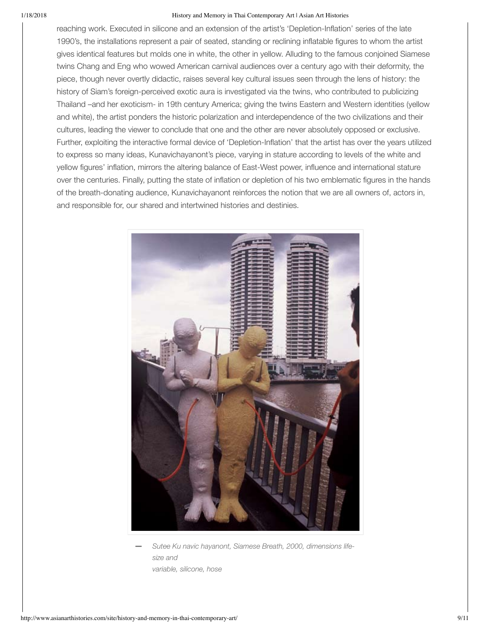reaching work. Executed in silicone and an extension of the artist's 'Depletion-Inflation' series of the late 1990's, the installations represent a pair of seated, standing or reclining inflatable figures to whom the artist gives identical features but molds one in white, the other in yellow. Alluding to the famous conjoined Siamese twins Chang and Eng who wowed American carnival audiences over a century ago with their deformity, the piece, though never overtly didactic, raises several key cultural issues seen through the lens of history: the history of Siam's foreign-perceived exotic aura is investigated via the twins, who contributed to publicizing Thailand –and her exoticism- in 19th century America; giving the twins Eastern and Western identities (yellow and white), the artist ponders the historic polarization and interdependence of the two civilizations and their cultures, leading the viewer to conclude that one and the other are never absolutely opposed or exclusive. Further, exploiting the interactive formal device of 'Depletion-Inflation' that the artist has over the years utilized to express so many ideas, Kunavichayanont's piece, varying in stature according to levels of the white and yellow figures' inflation, mirrors the altering balance of East-West power, influence and international stature over the centuries. Finally, putting the state of inflation or depletion of his two emblematic figures in the hands of the breath-donating audience, Kunavichayanont reinforces the notion that we are all owners of, actors in, and responsible for, our shared and intertwined histories and destinies.



*Sutee Ku navic hayanont, Siamese Breath, 2000, dimensions lifesize and variable, silicone, hose* **—**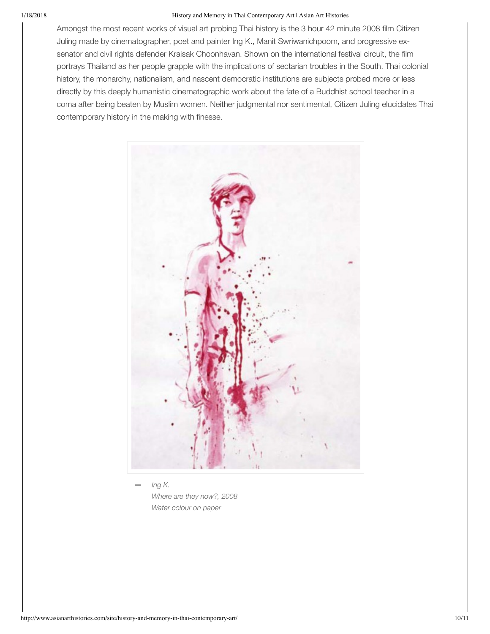Amongst the most recent works of visual art probing Thai history is the 3 hour 42 minute 2008 film Citizen Juling made by cinematographer, poet and painter Ing K., Manit Swriwanichpoom, and progressive exsenator and civil rights defender Kraisak Choonhavan. Shown on the international festival circuit, the film portrays Thailand as her people grapple with the implications of sectarian troubles in the South. Thai colonial history, the monarchy, nationalism, and nascent democratic institutions are subjects probed more or less directly by this deeply humanistic cinematographic work about the fate of a Buddhist school teacher in a coma after being beaten by Muslim women. Neither judgmental nor sentimental, Citizen Juling elucidates Thai contemporary history in the making with finesse.



*Ing K. Where are they now?, 2008 Water colour on paper* **—**